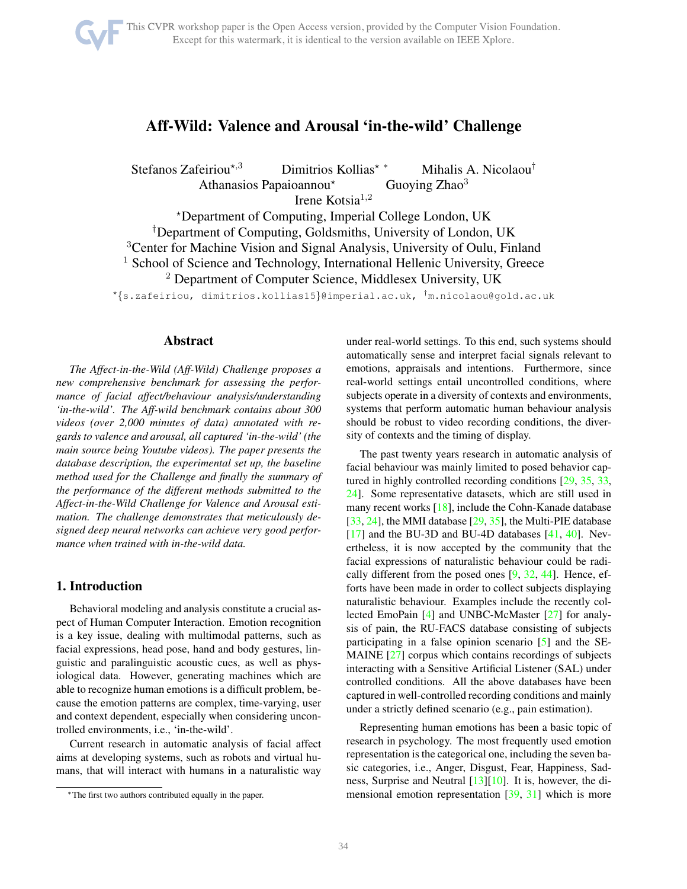# Aff-Wild: Valence and Arousal 'in-the-wild' Challenge

 $Stefanos Zafeiriou<sup>★,3</sup>$  Dimitrios Kollias<sup>★</sup> \* Mihalis A. Nicolaou<sup>†</sup>

Athanasios Papaioannou<sup>\*</sup> Guoying Zhao<sup>3</sup>

Irene Kotsia<sup>1,2</sup>

<sup>⋆</sup>Department of Computing, Imperial College London, UK

†Department of Computing, Goldsmiths, University of London, UK

<sup>3</sup>Center for Machine Vision and Signal Analysis, University of Oulu, Finland

<sup>1</sup> School of Science and Technology, International Hellenic University, Greece

<sup>2</sup> Department of Computer Science, Middlesex University, UK

 $^{\star}\{s.\textsf{z}$ afeiriou, dimitrios.kollias15 $\}$ @imperial.ac.uk,  $^{\dagger}$ m.nicolaou@gold.ac.uk

# Abstract

*The Affect-in-the-Wild (Aff-Wild) Challenge proposes a new comprehensive benchmark for assessing the performance of facial affect/behaviour analysis/understanding 'in-the-wild'. The Aff-wild benchmark contains about 300 videos (over 2,000 minutes of data) annotated with regards to valence and arousal, all captured 'in-the-wild' (the main source being Youtube videos). The paper presents the database description, the experimental set up, the baseline method used for the Challenge and finally the summary of the performance of the different methods submitted to the Affect-in-the-Wild Challenge for Valence and Arousal estimation. The challenge demonstrates that meticulously designed deep neural networks can achieve very good performance when trained with in-the-wild data.*

# 1. Introduction

Behavioral modeling and analysis constitute a crucial aspect of Human Computer Interaction. Emotion recognition is a key issue, dealing with multimodal patterns, such as facial expressions, head pose, hand and body gestures, linguistic and paralinguistic acoustic cues, as well as physiological data. However, generating machines which are able to recognize human emotions is a difficult problem, because the emotion patterns are complex, time-varying, user and context dependent, especially when considering uncontrolled environments, i.e., 'in-the-wild'.

Current research in automatic analysis of facial affect aims at developing systems, such as robots and virtual humans, that will interact with humans in a naturalistic way under real-world settings. To this end, such systems should automatically sense and interpret facial signals relevant to emotions, appraisals and intentions. Furthermore, since real-world settings entail uncontrolled conditions, where subjects operate in a diversity of contexts and environments, systems that perform automatic human behaviour analysis should be robust to video recording conditions, the diversity of contexts and the timing of display.

The past twenty years research in automatic analysis of facial behaviour was mainly limited to posed behavior captured in highly controlled recording conditions [\[29,](#page-7-0) [35,](#page-7-1) [33,](#page-7-2) [24\]](#page-7-3). Some representative datasets, which are still used in many recent works [\[18\]](#page-7-4), include the Cohn-Kanade database [\[33,](#page-7-2) [24\]](#page-7-3), the MMI database [\[29,](#page-7-0) [35\]](#page-7-1), the Multi-PIE database [\[17\]](#page-6-0) and the BU-3D and BU-4D databases [\[41,](#page-7-5) [40\]](#page-7-6). Nevertheless, it is now accepted by the community that the facial expressions of naturalistic behaviour could be radically different from the posed ones  $[9, 32, 44]$  $[9, 32, 44]$  $[9, 32, 44]$  $[9, 32, 44]$  $[9, 32, 44]$ . Hence, efforts have been made in order to collect subjects displaying naturalistic behaviour. Examples include the recently collected EmoPain [\[4\]](#page-6-2) and UNBC-McMaster [\[27\]](#page-7-9) for analysis of pain, the RU-FACS database consisting of subjects participating in a false opinion scenario [\[5\]](#page-6-3) and the SE-MAINE [\[27\]](#page-7-9) corpus which contains recordings of subjects interacting with a Sensitive Artificial Listener (SAL) under controlled conditions. All the above databases have been captured in well-controlled recording conditions and mainly under a strictly defined scenario (e.g., pain estimation).

Representing human emotions has been a basic topic of research in psychology. The most frequently used emotion representation is the categorical one, including the seven basic categories, i.e., Anger, Disgust, Fear, Happiness, Sadness, Surprise and Neutral [\[13\]](#page-6-4)[\[10\]](#page-6-5). It is, however, the dimensional emotion representation [\[39,](#page-7-10) [31\]](#page-7-11) which is more

<sup>∗</sup>The first two authors contributed equally in the paper.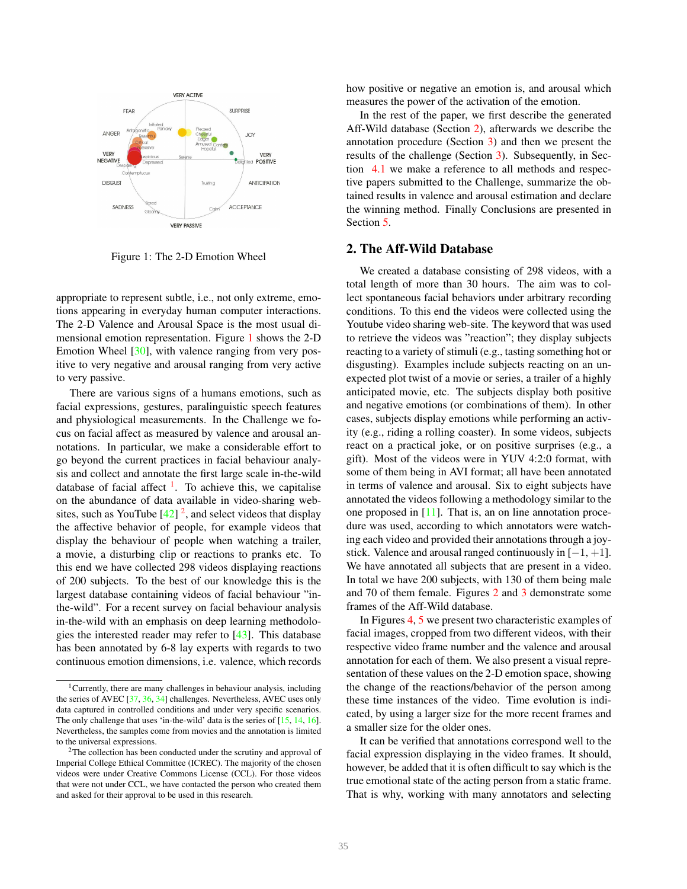<span id="page-1-0"></span>

Figure 1: The 2-D Emotion Wheel

appropriate to represent subtle, i.e., not only extreme, emotions appearing in everyday human computer interactions. The 2-D Valence and Arousal Space is the most usual dimensional emotion representation. Figure [1](#page-1-0) shows the 2-D Emotion Wheel [\[30\]](#page-7-12), with valence ranging from very positive to very negative and arousal ranging from very active to very passive.

There are various signs of a humans emotions, such as facial expressions, gestures, paralinguistic speech features and physiological measurements. In the Challenge we focus on facial affect as measured by valence and arousal annotations. In particular, we make a considerable effort to go beyond the current practices in facial behaviour analysis and collect and annotate the first large scale in-the-wild database of facial affect  $\frac{1}{1}$  $\frac{1}{1}$  $\frac{1}{1}$ . To achieve this, we capitalise on the abundance of data available in video-sharing websites, such as YouTube  $[42]$ <sup>[2](#page-1-2)</sup>, and select videos that display the affective behavior of people, for example videos that display the behaviour of people when watching a trailer, a movie, a disturbing clip or reactions to pranks etc. To this end we have collected 298 videos displaying reactions of 200 subjects. To the best of our knowledge this is the largest database containing videos of facial behaviour "inthe-wild". For a recent survey on facial behaviour analysis in-the-wild with an emphasis on deep learning methodologies the interested reader may refer to [\[43\]](#page-7-14). This database has been annotated by 6-8 lay experts with regards to two continuous emotion dimensions, i.e. valence, which records

how positive or negative an emotion is, and arousal which measures the power of the activation of the emotion.

In the rest of the paper, we first describe the generated Aff-Wild database (Section [2\)](#page-1-3), afterwards we describe the annotation procedure (Section [3\)](#page-2-0) and then we present the results of the challenge (Section [3\)](#page-2-0). Subsequently, in Section [4.1](#page-5-0) we make a reference to all methods and respective papers submitted to the Challenge, summarize the obtained results in valence and arousal estimation and declare the winning method. Finally Conclusions are presented in Section [5.](#page-6-9)

# <span id="page-1-3"></span>2. The Aff-Wild Database

We created a database consisting of 298 videos, with a total length of more than 30 hours. The aim was to collect spontaneous facial behaviors under arbitrary recording conditions. To this end the videos were collected using the Youtube video sharing web-site. The keyword that was used to retrieve the videos was "reaction"; they display subjects reacting to a variety of stimuli (e.g., tasting something hot or disgusting). Examples include subjects reacting on an unexpected plot twist of a movie or series, a trailer of a highly anticipated movie, etc. The subjects display both positive and negative emotions (or combinations of them). In other cases, subjects display emotions while performing an activity (e.g., riding a rolling coaster). In some videos, subjects react on a practical joke, or on positive surprises (e.g., a gift). Most of the videos were in YUV 4:2:0 format, with some of them being in AVI format; all have been annotated in terms of valence and arousal. Six to eight subjects have annotated the videos following a methodology similar to the one proposed in [\[11\]](#page-6-10). That is, an on line annotation procedure was used, according to which annotators were watching each video and provided their annotations through a joystick. Valence and arousal ranged continuously in  $[-1, +1]$ . We have annotated all subjects that are present in a video. In total we have 200 subjects, with 130 of them being male and 70 of them female. Figures [2](#page-2-1) and [3](#page-2-2) demonstrate some frames of the Aff-Wild database.

In Figures [4,](#page-3-0) [5](#page-3-0) we present two characteristic examples of facial images, cropped from two different videos, with their respective video frame number and the valence and arousal annotation for each of them. We also present a visual representation of these values on the 2-D emotion space, showing the change of the reactions/behavior of the person among these time instances of the video. Time evolution is indicated, by using a larger size for the more recent frames and a smaller size for the older ones.

It can be verified that annotations correspond well to the facial expression displaying in the video frames. It should, however, be added that it is often difficult to say which is the true emotional state of the acting person from a static frame. That is why, working with many annotators and selecting

<span id="page-1-1"></span><sup>&</sup>lt;sup>1</sup> Currently, there are many challenges in behaviour analysis, including the series of AVEC [\[37,](#page-7-15) [36,](#page-7-16) [34\]](#page-7-17) challenges. Nevertheless, AVEC uses only data captured in controlled conditions and under very specific scenarios. The only challenge that uses 'in-the-wild' data is the series of [\[15,](#page-6-6) [14,](#page-6-7) [16\]](#page-6-8). Nevertheless, the samples come from movies and the annotation is limited to the universal expressions.

<span id="page-1-2"></span> $2$ The collection has been conducted under the scrutiny and approval of Imperial College Ethical Committee (ICREC). The majority of the chosen videos were under Creative Commons License (CCL). For those videos that were not under CCL, we have contacted the person who created them and asked for their approval to be used in this research.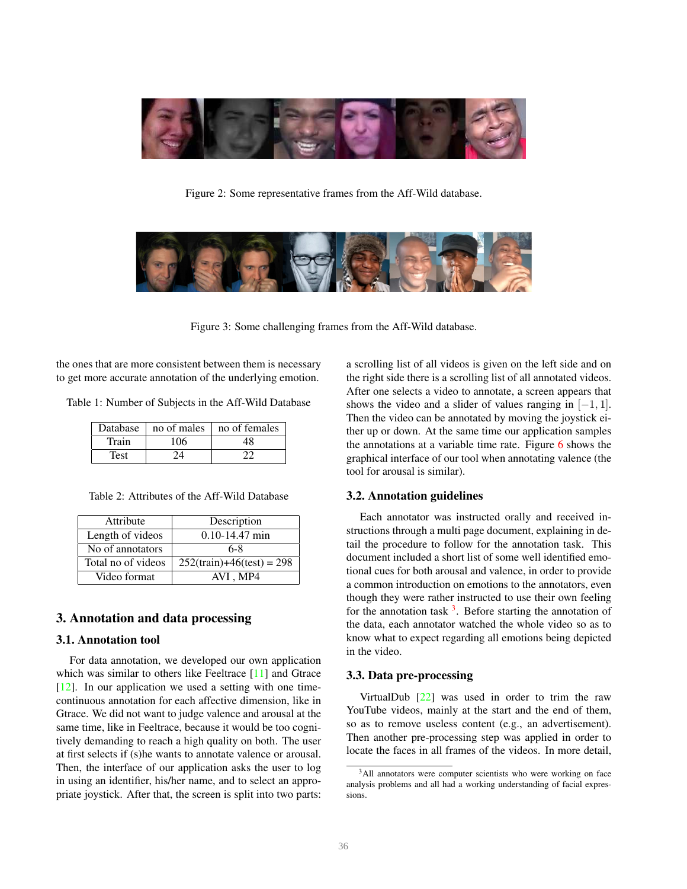<span id="page-2-1"></span>

Figure 2: Some representative frames from the Aff-Wild database.

<span id="page-2-2"></span>

Figure 3: Some challenging frames from the Aff-Wild database.

the ones that are more consistent between them is necessary to get more accurate annotation of the underlying emotion.

Table 1: Number of Subjects in the Aff-Wild Database

|       |         | Database   no of males   no of females |
|-------|---------|----------------------------------------|
| Train | $106 -$ |                                        |
| Test  |         |                                        |

Table 2: Attributes of the Aff-Wild Database

| Attribute          | Description                  |  |  |
|--------------------|------------------------------|--|--|
| Length of videos   | $0.10 - 14.47$ min           |  |  |
| No of annotators   | 6-8                          |  |  |
| Total no of videos | $252$ (train)+46(test) = 298 |  |  |
| Video format       | AVI.MP4                      |  |  |

# <span id="page-2-0"></span>3. Annotation and data processing

#### 3.1. Annotation tool

For data annotation, we developed our own application which was similar to others like Feeltrace [\[11\]](#page-6-10) and Gtrace [\[12\]](#page-6-11). In our application we used a setting with one timecontinuous annotation for each affective dimension, like in Gtrace. We did not want to judge valence and arousal at the same time, like in Feeltrace, because it would be too cognitively demanding to reach a high quality on both. The user at first selects if (s)he wants to annotate valence or arousal. Then, the interface of our application asks the user to log in using an identifier, his/her name, and to select an appropriate joystick. After that, the screen is split into two parts: a scrolling list of all videos is given on the left side and on the right side there is a scrolling list of all annotated videos. After one selects a video to annotate, a screen appears that shows the video and a slider of values ranging in  $[-1, 1]$ . Then the video can be annotated by moving the joystick either up or down. At the same time our application samples the annotations at a variable time rate. Figure [6](#page-3-1) shows the graphical interface of our tool when annotating valence (the tool for arousal is similar).

#### 3.2. Annotation guidelines

Each annotator was instructed orally and received instructions through a multi page document, explaining in detail the procedure to follow for the annotation task. This document included a short list of some well identified emotional cues for both arousal and valence, in order to provide a common introduction on emotions to the annotators, even though they were rather instructed to use their own feeling for the annotation task  $3$ . Before starting the annotation of the data, each annotator watched the whole video so as to know what to expect regarding all emotions being depicted in the video.

### 3.3. Data pre-processing

VirtualDub  $[22]$  was used in order to trim the raw YouTube videos, mainly at the start and the end of them, so as to remove useless content (e.g., an advertisement). Then another pre-processing step was applied in order to locate the faces in all frames of the videos. In more detail,

<span id="page-2-3"></span><sup>&</sup>lt;sup>3</sup>All annotators were computer scientists who were working on face analysis problems and all had a working understanding of facial expressions.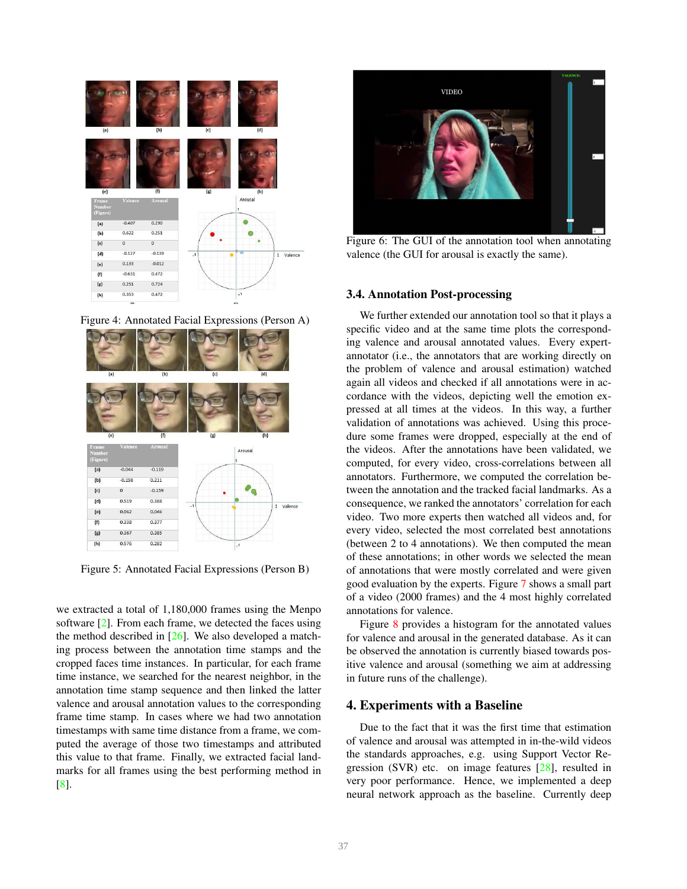<span id="page-3-0"></span>

Figure 4: Annotated Facial Expressions (Person A)



Figure 5: Annotated Facial Expressions (Person B)

we extracted a total of 1,180,000 frames using the Menpo software [\[2\]](#page-6-12). From each frame, we detected the faces using the method described in  $[26]$ . We also developed a matching process between the annotation time stamps and the cropped faces time instances. In particular, for each frame time instance, we searched for the nearest neighbor, in the annotation time stamp sequence and then linked the latter valence and arousal annotation values to the corresponding frame time stamp. In cases where we had two annotation timestamps with same time distance from a frame, we computed the average of those two timestamps and attributed this value to that frame. Finally, we extracted facial landmarks for all frames using the best performing method in [\[8\]](#page-6-13).

<span id="page-3-1"></span>

Figure 6: The GUI of the annotation tool when annotating valence (the GUI for arousal is exactly the same).

#### 3.4. Annotation Post-processing

We further extended our annotation tool so that it plays a specific video and at the same time plots the corresponding valence and arousal annotated values. Every expertannotator (i.e., the annotators that are working directly on the problem of valence and arousal estimation) watched again all videos and checked if all annotations were in accordance with the videos, depicting well the emotion expressed at all times at the videos. In this way, a further validation of annotations was achieved. Using this procedure some frames were dropped, especially at the end of the videos. After the annotations have been validated, we computed, for every video, cross-correlations between all annotators. Furthermore, we computed the correlation between the annotation and the tracked facial landmarks. As a consequence, we ranked the annotators' correlation for each video. Two more experts then watched all videos and, for every video, selected the most correlated best annotations (between 2 to 4 annotations). We then computed the mean of these annotations; in other words we selected the mean of annotations that were mostly correlated and were given good evaluation by the experts. Figure [7](#page-4-0) shows a small part of a video (2000 frames) and the 4 most highly correlated annotations for valence.

Figure [8](#page-4-1) provides a histogram for the annotated values for valence and arousal in the generated database. As it can be observed the annotation is currently biased towards positive valence and arousal (something we aim at addressing in future runs of the challenge).

### 4. Experiments with a Baseline

Due to the fact that it was the first time that estimation of valence and arousal was attempted in in-the-wild videos the standards approaches, e.g. using Support Vector Regression (SVR) etc. on image features [\[28\]](#page-7-20), resulted in very poor performance. Hence, we implemented a deep neural network approach as the baseline. Currently deep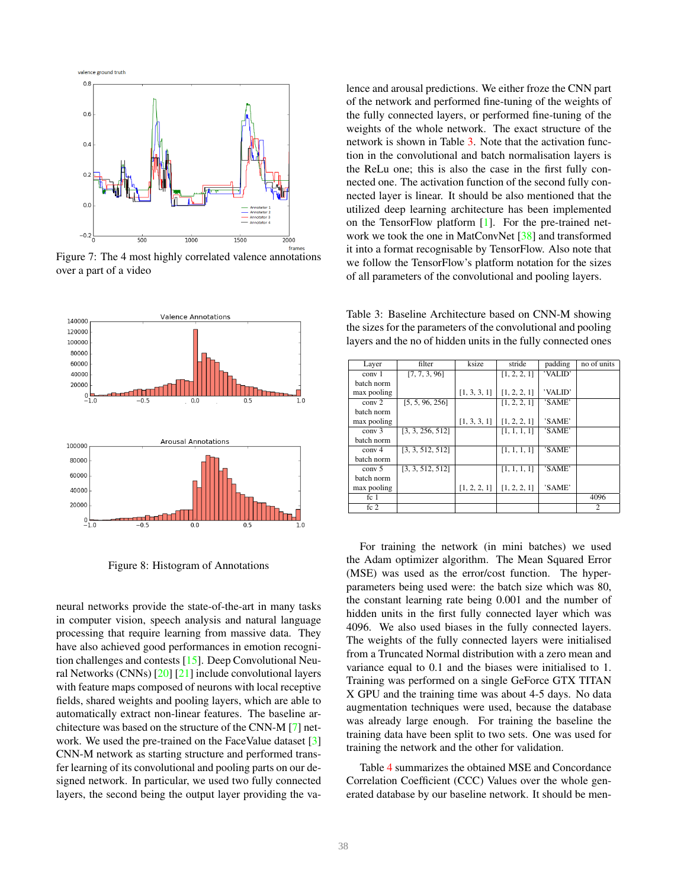<span id="page-4-0"></span>

Figure 7: The 4 most highly correlated valence annotations over a part of a video

<span id="page-4-1"></span>

Figure 8: Histogram of Annotations

neural networks provide the state-of-the-art in many tasks in computer vision, speech analysis and natural language processing that require learning from massive data. They have also achieved good performances in emotion recognition challenges and contests [\[15\]](#page-6-6). Deep Convolutional Neural Networks (CNNs) [\[20\]](#page-7-21) [\[21\]](#page-7-22) include convolutional layers with feature maps composed of neurons with local receptive fields, shared weights and pooling layers, which are able to automatically extract non-linear features. The baseline architecture was based on the structure of the CNN-M [\[7\]](#page-6-14) net-work. We used the pre-trained on the FaceValue dataset [\[3\]](#page-6-15) CNN-M network as starting structure and performed transfer learning of its convolutional and pooling parts on our designed network. In particular, we used two fully connected layers, the second being the output layer providing the valence and arousal predictions. We either froze the CNN part of the network and performed fine-tuning of the weights of the fully connected layers, or performed fine-tuning of the weights of the whole network. The exact structure of the network is shown in Table [3.](#page-4-2) Note that the activation function in the convolutional and batch normalisation layers is the ReLu one; this is also the case in the first fully connected one. The activation function of the second fully connected layer is linear. It should be also mentioned that the utilized deep learning architecture has been implemented on the TensorFlow platform [\[1\]](#page-6-16). For the pre-trained net-work we took the one in MatConvNet [\[38\]](#page-7-23) and transformed it into a format recognisable by TensorFlow. Also note that we follow the TensorFlow's platform notation for the sizes of all parameters of the convolutional and pooling layers.

<span id="page-4-2"></span>Table 3: Baseline Architecture based on CNN-M showing the sizes for the parameters of the convolutional and pooling layers and the no of hidden units in the fully connected ones

| Layer             | filter           | ksize        | stride       | padding | no of units |
|-------------------|------------------|--------------|--------------|---------|-------------|
| conv <sub>1</sub> | [7, 7, 3, 96]    |              | [1, 2, 2, 1] | 'VALID' |             |
| batch norm        |                  |              |              |         |             |
| max pooling       |                  | [1, 3, 3, 1] | [1, 2, 2, 1] | 'VALID' |             |
| conv <sub>2</sub> | [5, 5, 96, 256]  |              | [1, 2, 2, 1] | 'SAME'  |             |
| batch norm        |                  |              |              |         |             |
| max pooling       |                  | [1, 3, 3, 1] | [1, 2, 2, 1] | 'SAME'  |             |
| conv <sub>3</sub> | [3, 3, 256, 512] |              | [1, 1, 1, 1] | 'SAME'  |             |
| batch norm        |                  |              |              |         |             |
| conv <sub>4</sub> | [3, 3, 512, 512] |              | [1, 1, 1, 1] | 'SAME'  |             |
| batch norm        |                  |              |              |         |             |
| conv <sub>5</sub> | [3, 3, 512, 512] |              | [1, 1, 1, 1] | 'SAME'  |             |
| batch norm        |                  |              |              |         |             |
| max pooling       |                  | [1, 2, 2, 1] | [1, 2, 2, 1] | 'SAME'  |             |
| fc <sub>1</sub>   |                  |              |              |         | 4096        |
| fc <sub>2</sub>   |                  |              |              |         | 2           |

For training the network (in mini batches) we used the Adam optimizer algorithm. The Mean Squared Error (MSE) was used as the error/cost function. The hyperparameters being used were: the batch size which was 80, the constant learning rate being 0.001 and the number of hidden units in the first fully connected layer which was 4096. We also used biases in the fully connected layers. The weights of the fully connected layers were initialised from a Truncated Normal distribution with a zero mean and variance equal to 0.1 and the biases were initialised to 1. Training was performed on a single GeForce GTX TITAN X GPU and the training time was about 4-5 days. No data augmentation techniques were used, because the database was already large enough. For training the baseline the training data have been split to two sets. One was used for training the network and the other for validation.

Table [4](#page-5-1) summarizes the obtained MSE and Concordance Correlation Coefficient (CCC) Values over the whole generated database by our baseline network. It should be men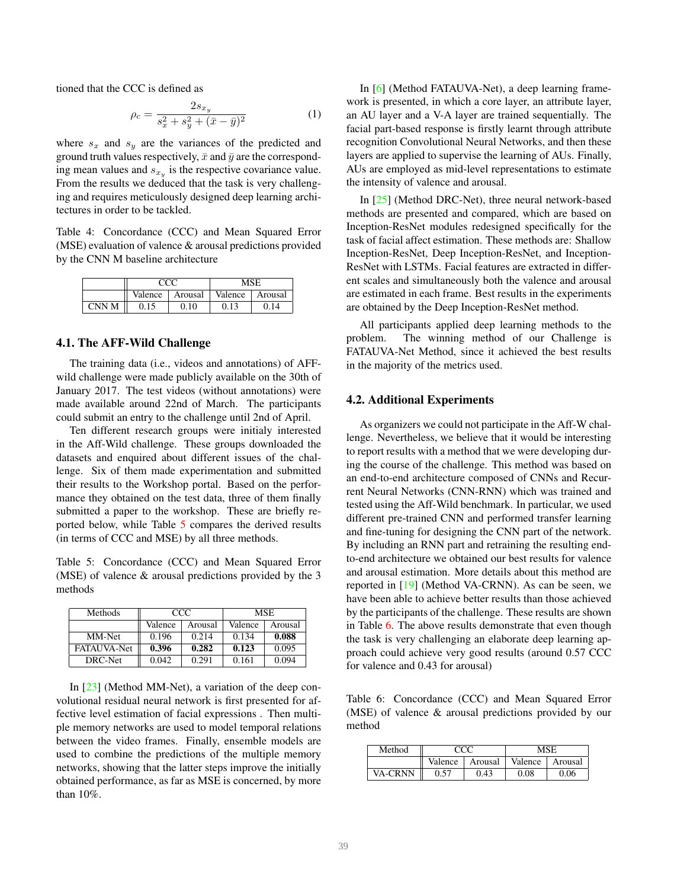tioned that the CCC is defined as

$$
\rho_c = \frac{2s_{x_y}}{s_x^2 + s_y^2 + (\bar{x} - \bar{y})^2} \tag{1}
$$

where  $s_x$  and  $s_y$  are the variances of the predicted and ground truth values respectively,  $\bar{x}$  and  $\bar{y}$  are the corresponding mean values and  $s_{x_y}$  is the respective covariance value. From the results we deduced that the task is very challenging and requires meticulously designed deep learning architectures in order to be tackled.

<span id="page-5-1"></span>Table 4: Concordance (CCC) and Mean Squared Error (MSE) evaluation of valence & arousal predictions provided by the CNN M baseline architecture

|       |         |         | MSE     |         |  |
|-------|---------|---------|---------|---------|--|
|       | Valence | Arousal | Valence | Arousal |  |
| CNN M | 0.15    | 0.10    | 0.13    |         |  |

## <span id="page-5-0"></span>4.1. The AFF-Wild Challenge

The training data (i.e., videos and annotations) of AFFwild challenge were made publicly available on the 30th of January 2017. The test videos (without annotations) were made available around 22nd of March. The participants could submit an entry to the challenge until 2nd of April.

Ten different research groups were initialy interested in the Aff-Wild challenge. These groups downloaded the datasets and enquired about different issues of the challenge. Six of them made experimentation and submitted their results to the Workshop portal. Based on the performance they obtained on the test data, three of them finally submitted a paper to the workshop. These are briefly reported below, while Table [5](#page-5-2) compares the derived results (in terms of CCC and MSE) by all three methods.

<span id="page-5-2"></span>Table 5: Concordance (CCC) and Mean Squared Error (MSE) of valence & arousal predictions provided by the 3 methods

| <b>Methods</b>     | CCC.    |         | MSE     |         |  |
|--------------------|---------|---------|---------|---------|--|
|                    | Valence | Arousal | Valence | Arousal |  |
| MM-Net             | 0.196   | 0.214   | 0.134   | 0.088   |  |
| <b>FATAUVA-Net</b> | 0.396   | 0.282   | 0.123   | 0.095   |  |
| DRC-Net            | 0.042   | 0.291   | 0.161   | 0.094   |  |

In [\[23\]](#page-7-24) (Method MM-Net), a variation of the deep convolutional residual neural network is first presented for affective level estimation of facial expressions . Then multiple memory networks are used to model temporal relations between the video frames. Finally, ensemble models are used to combine the predictions of the multiple memory networks, showing that the latter steps improve the initially obtained performance, as far as MSE is concerned, by more than 10%.

In [\[6\]](#page-6-17) (Method FATAUVA-Net), a deep learning framework is presented, in which a core layer, an attribute layer, an AU layer and a V-A layer are trained sequentially. The facial part-based response is firstly learnt through attribute recognition Convolutional Neural Networks, and then these layers are applied to supervise the learning of AUs. Finally, AUs are employed as mid-level representations to estimate the intensity of valence and arousal.

In [\[25\]](#page-7-25) (Method DRC-Net), three neural network-based methods are presented and compared, which are based on Inception-ResNet modules redesigned specifically for the task of facial affect estimation. These methods are: Shallow Inception-ResNet, Deep Inception-ResNet, and Inception-ResNet with LSTMs. Facial features are extracted in different scales and simultaneously both the valence and arousal are estimated in each frame. Best results in the experiments are obtained by the Deep Inception-ResNet method.

All participants applied deep learning methods to the problem. The winning method of our Challenge is FATAUVA-Net Method, since it achieved the best results in the majority of the metrics used.

### 4.2. Additional Experiments

As organizers we could not participate in the Aff-W challenge. Nevertheless, we believe that it would be interesting to report results with a method that we were developing during the course of the challenge. This method was based on an end-to-end architecture composed of CNNs and Recurrent Neural Networks (CNN-RNN) which was trained and tested using the Aff-Wild benchmark. In particular, we used different pre-trained CNN and performed transfer learning and fine-tuning for designing the CNN part of the network. By including an RNN part and retraining the resulting endto-end architecture we obtained our best results for valence and arousal estimation. More details about this method are reported in [\[19\]](#page-7-26) (Method VA-CRNN). As can be seen, we have been able to achieve better results than those achieved by the participants of the challenge. These results are shown in Table [6.](#page-5-3) The above results demonstrate that even though the task is very challenging an elaborate deep learning approach could achieve very good results (around 0.57 CCC for valence and 0.43 for arousal)

<span id="page-5-3"></span>Table 6: Concordance (CCC) and Mean Squared Error (MSE) of valence & arousal predictions provided by our method

| Method         |         |         | MSE     |         |
|----------------|---------|---------|---------|---------|
|                | Valence | Arousal | Valence | Arousal |
| <b>VA-CRNN</b> | 0.57    | 0.43    | 0.08    | 0.06    |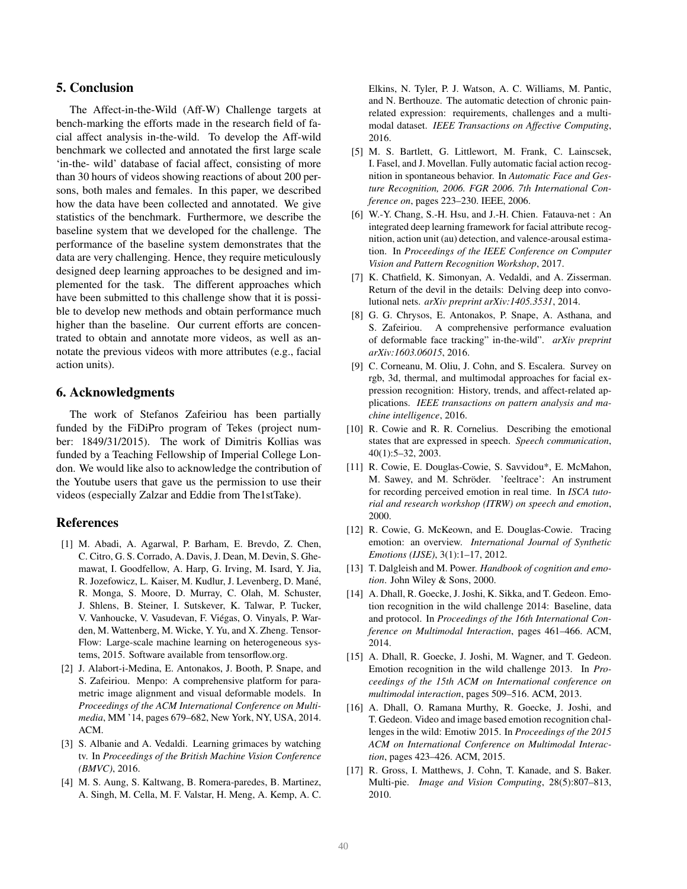# <span id="page-6-9"></span>5. Conclusion

The Affect-in-the-Wild (Aff-W) Challenge targets at bench-marking the efforts made in the research field of facial affect analysis in-the-wild. To develop the Aff-wild benchmark we collected and annotated the first large scale 'in-the- wild' database of facial affect, consisting of more than 30 hours of videos showing reactions of about 200 persons, both males and females. In this paper, we described how the data have been collected and annotated. We give statistics of the benchmark. Furthermore, we describe the baseline system that we developed for the challenge. The performance of the baseline system demonstrates that the data are very challenging. Hence, they require meticulously designed deep learning approaches to be designed and implemented for the task. The different approaches which have been submitted to this challenge show that it is possible to develop new methods and obtain performance much higher than the baseline. Our current efforts are concentrated to obtain and annotate more videos, as well as annotate the previous videos with more attributes (e.g., facial action units).

# 6. Acknowledgments

The work of Stefanos Zafeiriou has been partially funded by the FiDiPro program of Tekes (project number: 1849/31/2015). The work of Dimitris Kollias was funded by a Teaching Fellowship of Imperial College London. We would like also to acknowledge the contribution of the Youtube users that gave us the permission to use their videos (especially Zalzar and Eddie from The1stTake).

#### References

- <span id="page-6-16"></span>[1] M. Abadi, A. Agarwal, P. Barham, E. Brevdo, Z. Chen, C. Citro, G. S. Corrado, A. Davis, J. Dean, M. Devin, S. Ghemawat, I. Goodfellow, A. Harp, G. Irving, M. Isard, Y. Jia, R. Jozefowicz, L. Kaiser, M. Kudlur, J. Levenberg, D. Mane,´ R. Monga, S. Moore, D. Murray, C. Olah, M. Schuster, J. Shlens, B. Steiner, I. Sutskever, K. Talwar, P. Tucker, V. Vanhoucke, V. Vasudevan, F. Viegas, O. Vinyals, P. War- ´ den, M. Wattenberg, M. Wicke, Y. Yu, and X. Zheng. Tensor-Flow: Large-scale machine learning on heterogeneous systems, 2015. Software available from tensorflow.org.
- <span id="page-6-12"></span>[2] J. Alabort-i-Medina, E. Antonakos, J. Booth, P. Snape, and S. Zafeiriou. Menpo: A comprehensive platform for parametric image alignment and visual deformable models. In *Proceedings of the ACM International Conference on Multimedia*, MM '14, pages 679–682, New York, NY, USA, 2014. ACM.
- <span id="page-6-15"></span>[3] S. Albanie and A. Vedaldi. Learning grimaces by watching tv. In *Proceedings of the British Machine Vision Conference (BMVC)*, 2016.
- <span id="page-6-2"></span>[4] M. S. Aung, S. Kaltwang, B. Romera-paredes, B. Martinez, A. Singh, M. Cella, M. F. Valstar, H. Meng, A. Kemp, A. C.

Elkins, N. Tyler, P. J. Watson, A. C. Williams, M. Pantic, and N. Berthouze. The automatic detection of chronic painrelated expression: requirements, challenges and a multimodal dataset. *IEEE Transactions on Affective Computing*, 2016.

- <span id="page-6-3"></span>[5] M. S. Bartlett, G. Littlewort, M. Frank, C. Lainscsek, I. Fasel, and J. Movellan. Fully automatic facial action recognition in spontaneous behavior. In *Automatic Face and Gesture Recognition, 2006. FGR 2006. 7th International Conference on*, pages 223–230. IEEE, 2006.
- <span id="page-6-17"></span>[6] W.-Y. Chang, S.-H. Hsu, and J.-H. Chien. Fatauva-net : An integrated deep learning framework for facial attribute recognition, action unit (au) detection, and valence-arousal estimation. In *Proceedings of the IEEE Conference on Computer Vision and Pattern Recognition Workshop*, 2017.
- <span id="page-6-14"></span>[7] K. Chatfield, K. Simonyan, A. Vedaldi, and A. Zisserman. Return of the devil in the details: Delving deep into convolutional nets. *arXiv preprint arXiv:1405.3531*, 2014.
- <span id="page-6-13"></span>[8] G. G. Chrysos, E. Antonakos, P. Snape, A. Asthana, and S. Zafeiriou. A comprehensive performance evaluation of deformable face tracking" in-the-wild". *arXiv preprint arXiv:1603.06015*, 2016.
- <span id="page-6-1"></span>[9] C. Corneanu, M. Oliu, J. Cohn, and S. Escalera. Survey on rgb, 3d, thermal, and multimodal approaches for facial expression recognition: History, trends, and affect-related applications. *IEEE transactions on pattern analysis and machine intelligence*, 2016.
- <span id="page-6-5"></span>[10] R. Cowie and R. R. Cornelius. Describing the emotional states that are expressed in speech. *Speech communication*, 40(1):5–32, 2003.
- <span id="page-6-10"></span>[11] R. Cowie, E. Douglas-Cowie, S. Savvidou\*, E. McMahon, M. Sawey, and M. Schröder. 'feeltrace': An instrument for recording perceived emotion in real time. In *ISCA tutorial and research workshop (ITRW) on speech and emotion*, 2000.
- <span id="page-6-11"></span>[12] R. Cowie, G. McKeown, and E. Douglas-Cowie. Tracing emotion: an overview. *International Journal of Synthetic Emotions (IJSE)*, 3(1):1–17, 2012.
- <span id="page-6-4"></span>[13] T. Dalgleish and M. Power. *Handbook of cognition and emotion*. John Wiley & Sons, 2000.
- <span id="page-6-7"></span>[14] A. Dhall, R. Goecke, J. Joshi, K. Sikka, and T. Gedeon. Emotion recognition in the wild challenge 2014: Baseline, data and protocol. In *Proceedings of the 16th International Conference on Multimodal Interaction*, pages 461–466. ACM, 2014.
- <span id="page-6-6"></span>[15] A. Dhall, R. Goecke, J. Joshi, M. Wagner, and T. Gedeon. Emotion recognition in the wild challenge 2013. In *Proceedings of the 15th ACM on International conference on multimodal interaction*, pages 509–516. ACM, 2013.
- <span id="page-6-8"></span>[16] A. Dhall, O. Ramana Murthy, R. Goecke, J. Joshi, and T. Gedeon. Video and image based emotion recognition challenges in the wild: Emotiw 2015. In *Proceedings of the 2015 ACM on International Conference on Multimodal Interaction*, pages 423–426. ACM, 2015.
- <span id="page-6-0"></span>[17] R. Gross, I. Matthews, J. Cohn, T. Kanade, and S. Baker. Multi-pie. *Image and Vision Computing*, 28(5):807–813, 2010.